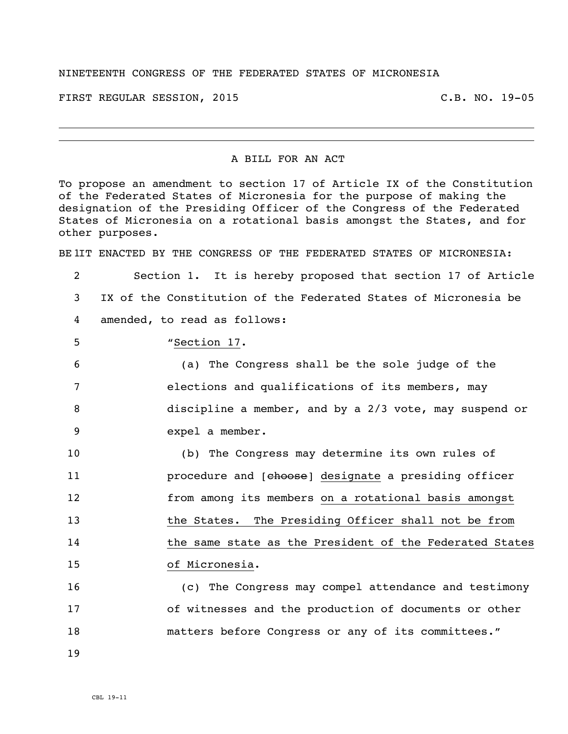## NINETEENTH CONGRESS OF THE FEDERATED STATES OF MICRONESIA

FIRST REGULAR SESSION, 2015 C.B. NO. 19-05

A BILL FOR AN ACT

To propose an amendment to section 17 of Article IX of the Constitution of the Federated States of Micronesia for the purpose of making the designation of the Presiding Officer of the Congress of the Federated States of Micronesia on a rotational basis amongst the States, and for other purposes.

BE 1IT ENACTED BY THE CONGRESS OF THE FEDERATED STATES OF MICRONESIA:

 Section 1. It is hereby proposed that section 17 of Article IX of the Constitution of the Federated States of Micronesia be amended, to read as follows: "Section 17. (a) The Congress shall be the sole judge of the elections and qualifications of its members, may discipline a member, and by a 2/3 vote, may suspend or expel a member. (b) The Congress may determine its own rules of **procedure and [choose]** designate a presiding officer from among its members on a rotational basis amongst the States. The Presiding Officer shall not be from **the same state as the President of the Federated States** of Micronesia.

 (c) The Congress may compel attendance and testimony of witnesses and the production of documents or other matters before Congress or any of its committees."